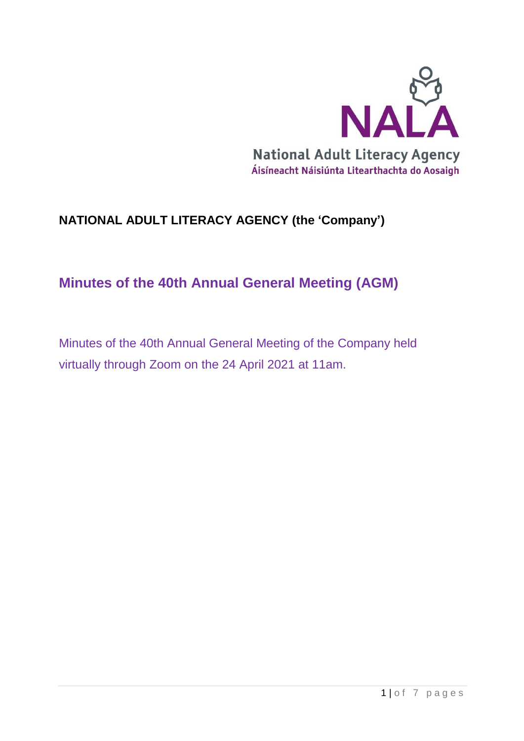

# **NATIONAL ADULT LITERACY AGENCY (the 'Company')**

# **Minutes of the 40th Annual General Meeting (AGM)**

Minutes of the 40th Annual General Meeting of the Company held virtually through Zoom on the 24 April 2021 at 11am.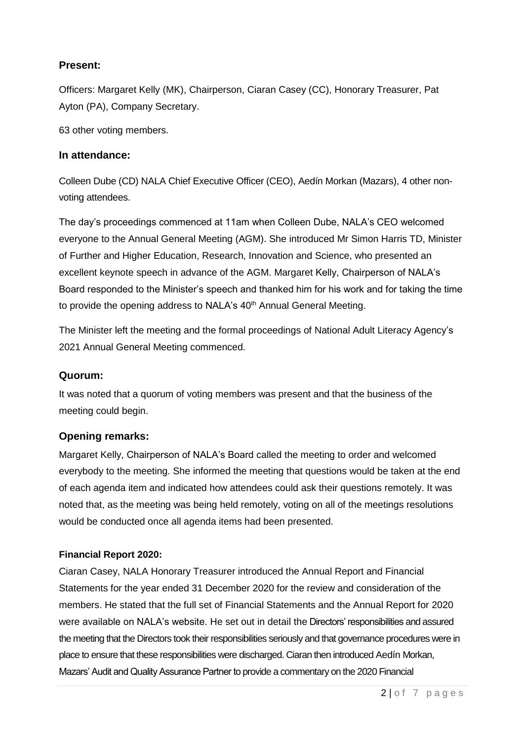#### **Present:**

Officers: Margaret Kelly (MK), Chairperson, Ciaran Casey (CC), Honorary Treasurer, Pat Ayton (PA), Company Secretary.

63 other voting members.

#### **In attendance:**

Colleen Dube (CD) NALA Chief Executive Officer (CEO), Aedín Morkan (Mazars), 4 other nonvoting attendees.

The day's proceedings commenced at 11am when Colleen Dube, NALA's CEO welcomed everyone to the Annual General Meeting (AGM). She introduced Mr Simon Harris TD, Minister of Further and Higher Education, Research, Innovation and Science, who presented an excellent keynote speech in advance of the AGM. Margaret Kelly, Chairperson of NALA's Board responded to the Minister's speech and thanked him for his work and for taking the time to provide the opening address to NALA's 40<sup>th</sup> Annual General Meeting.

The Minister left the meeting and the formal proceedings of National Adult Literacy Agency's 2021 Annual General Meeting commenced.

#### **Quorum:**

It was noted that a quorum of voting members was present and that the business of the meeting could begin.

#### **Opening remarks:**

Margaret Kelly, Chairperson of NALA's Board called the meeting to order and welcomed everybody to the meeting. She informed the meeting that questions would be taken at the end of each agenda item and indicated how attendees could ask their questions remotely. It was noted that, as the meeting was being held remotely, voting on all of the meetings resolutions would be conducted once all agenda items had been presented.

#### **Financial Report 2020:**

Ciaran Casey, NALA Honorary Treasurer introduced the Annual Report and Financial Statements for the year ended 31 December 2020 for the review and consideration of the members. He stated that the full set of Financial Statements and the Annual Report for 2020 were available on NALA's website. He set out in detail the Directors' responsibilities and assured the meeting that the Directors took their responsibilities seriously and that governance procedures were in place to ensure that these responsibilities were discharged. Ciaran then introduced Aedín Morkan, Mazars' Audit and Quality Assurance Partner to provide a commentary on the 2020 Financial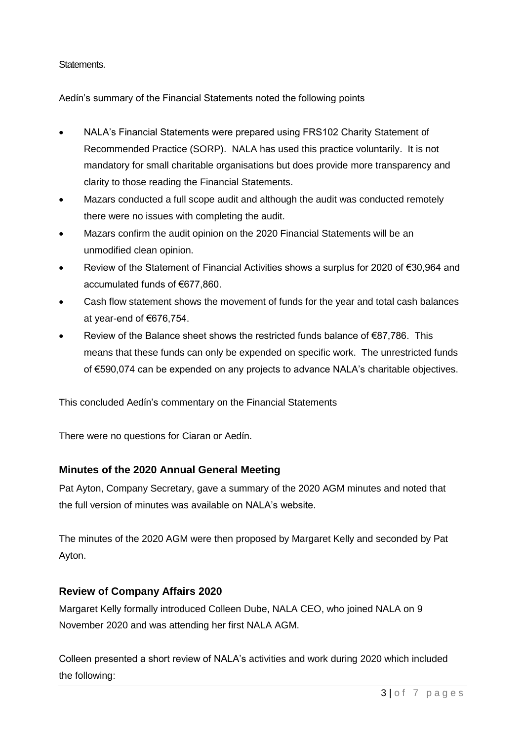#### Statements.

Aedín's summary of the Financial Statements noted the following points

- NALA's Financial Statements were prepared using FRS102 Charity Statement of Recommended Practice (SORP). NALA has used this practice voluntarily. It is not mandatory for small charitable organisations but does provide more transparency and clarity to those reading the Financial Statements.
- Mazars conducted a full scope audit and although the audit was conducted remotely there were no issues with completing the audit.
- Mazars confirm the audit opinion on the 2020 Financial Statements will be an unmodified clean opinion.
- Review of the Statement of Financial Activities shows a surplus for 2020 of €30,964 and accumulated funds of €677,860.
- Cash flow statement shows the movement of funds for the year and total cash balances at year-end of €676,754.
- Review of the Balance sheet shows the restricted funds balance of €87,786. This means that these funds can only be expended on specific work. The unrestricted funds of €590,074 can be expended on any projects to advance NALA's charitable objectives.

This concluded Aedín's commentary on the Financial Statements

There were no questions for Ciaran or Aedín.

#### **Minutes of the 2020 Annual General Meeting**

Pat Ayton, Company Secretary, gave a summary of the 2020 AGM minutes and noted that the full version of minutes was available on NALA's website.

The minutes of the 2020 AGM were then proposed by Margaret Kelly and seconded by Pat Ayton.

#### **Review of Company Affairs 2020**

Margaret Kelly formally introduced Colleen Dube, NALA CEO, who joined NALA on 9 November 2020 and was attending her first NALA AGM.

Colleen presented a short review of NALA's activities and work during 2020 which included the following: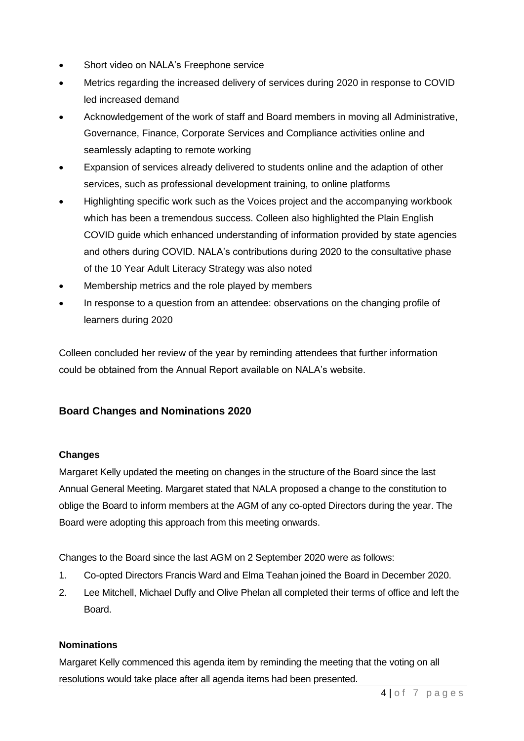- Short video on NALA's Freephone service
- Metrics regarding the increased delivery of services during 2020 in response to COVID led increased demand
- Acknowledgement of the work of staff and Board members in moving all Administrative, Governance, Finance, Corporate Services and Compliance activities online and seamlessly adapting to remote working
- Expansion of services already delivered to students online and the adaption of other services, such as professional development training, to online platforms
- Highlighting specific work such as the Voices project and the accompanying workbook which has been a tremendous success. Colleen also highlighted the Plain English COVID guide which enhanced understanding of information provided by state agencies and others during COVID. NALA's contributions during 2020 to the consultative phase of the 10 Year Adult Literacy Strategy was also noted
- Membership metrics and the role played by members
- In response to a question from an attendee: observations on the changing profile of learners during 2020

Colleen concluded her review of the year by reminding attendees that further information could be obtained from the Annual Report available on NALA's website.

#### **Board Changes and Nominations 2020**

#### **Changes**

Margaret Kelly updated the meeting on changes in the structure of the Board since the last Annual General Meeting. Margaret stated that NALA proposed a change to the constitution to oblige the Board to inform members at the AGM of any co-opted Directors during the year. The Board were adopting this approach from this meeting onwards.

Changes to the Board since the last AGM on 2 September 2020 were as follows:

- 1. Co-opted Directors Francis Ward and Elma Teahan joined the Board in December 2020.
- 2. Lee Mitchell, Michael Duffy and Olive Phelan all completed their terms of office and left the Board.

#### **Nominations**

Margaret Kelly commenced this agenda item by reminding the meeting that the voting on all resolutions would take place after all agenda items had been presented.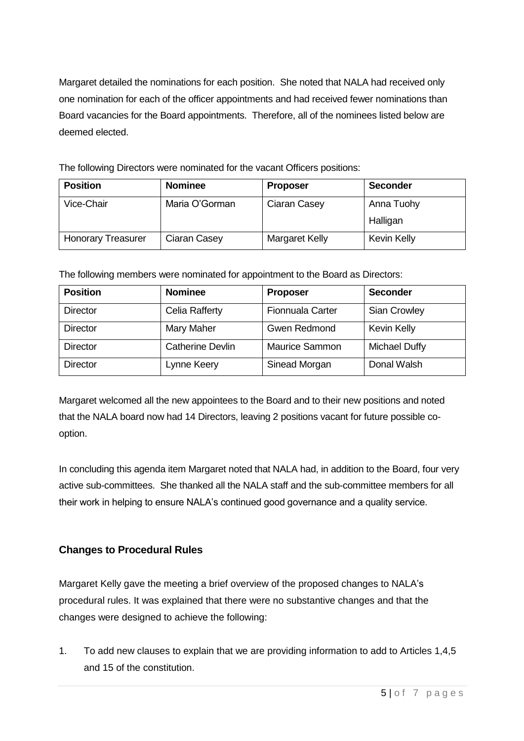Margaret detailed the nominations for each position. She noted that NALA had received only one nomination for each of the officer appointments and had received fewer nominations than Board vacancies for the Board appointments. Therefore, all of the nominees listed below are deemed elected.

The following Directors were nominated for the vacant Officers positions:

| <b>Position</b>           | <b>Nominee</b> | <b>Proposer</b> | <b>Seconder</b> |
|---------------------------|----------------|-----------------|-----------------|
| Vice-Chair                | Maria O'Gorman | Ciaran Casey    | Anna Tuohy      |
|                           |                |                 | Halligan        |
| <b>Honorary Treasurer</b> | Ciaran Casey   | Margaret Kelly  | Kevin Kelly     |

The following members were nominated for appointment to the Board as Directors:

| <b>Position</b> | <b>Nominee</b>          | <b>Proposer</b>       | <b>Seconder</b>     |
|-----------------|-------------------------|-----------------------|---------------------|
| <b>Director</b> | Celia Rafferty          | Fionnuala Carter      | <b>Sian Crowley</b> |
| <b>Director</b> | Mary Maher              | <b>Gwen Redmond</b>   | Kevin Kelly         |
| <b>Director</b> | <b>Catherine Devlin</b> | <b>Maurice Sammon</b> | Michael Duffy       |
| <b>Director</b> | Lynne Keery             | Sinead Morgan         | Donal Walsh         |

Margaret welcomed all the new appointees to the Board and to their new positions and noted that the NALA board now had 14 Directors, leaving 2 positions vacant for future possible cooption.

In concluding this agenda item Margaret noted that NALA had, in addition to the Board, four very active sub-committees. She thanked all the NALA staff and the sub-committee members for all their work in helping to ensure NALA's continued good governance and a quality service.

## **Changes to Procedural Rules**

Margaret Kelly gave the meeting a brief overview of the proposed changes to NALA's procedural rules. It was explained that there were no substantive changes and that the changes were designed to achieve the following:

1. To add new clauses to explain that we are providing information to add to Articles 1,4,5 and 15 of the constitution.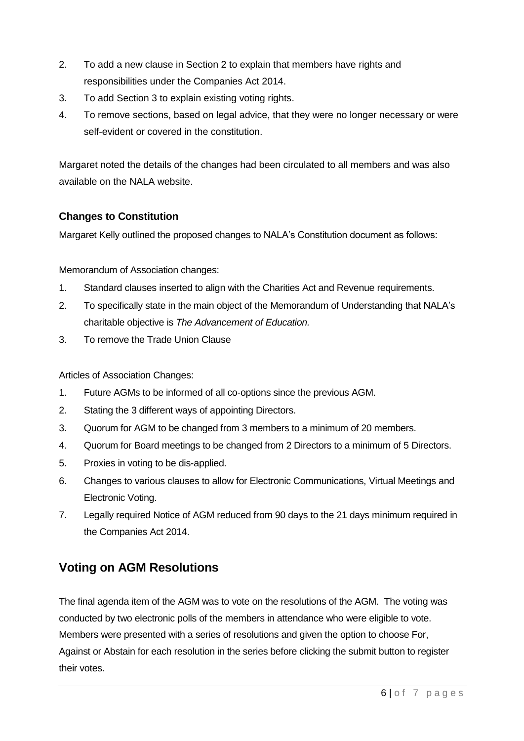- 2. To add a new clause in Section 2 to explain that members have rights and responsibilities under the Companies Act 2014.
- 3. To add Section 3 to explain existing voting rights.
- 4. To remove sections, based on legal advice, that they were no longer necessary or were self-evident or covered in the constitution.

Margaret noted the details of the changes had been circulated to all members and was also available on the NALA website.

## **Changes to Constitution**

Margaret Kelly outlined the proposed changes to NALA's Constitution document as follows:

Memorandum of Association changes:

- 1. Standard clauses inserted to align with the Charities Act and Revenue requirements.
- 2. To specifically state in the main object of the Memorandum of Understanding that NALA's charitable objective is *The Advancement of Education.*
- 3. To remove the Trade Union Clause

Articles of Association Changes:

- 1. Future AGMs to be informed of all co-options since the previous AGM.
- 2. Stating the 3 different ways of appointing Directors.
- 3. Quorum for AGM to be changed from 3 members to a minimum of 20 members.
- 4. Quorum for Board meetings to be changed from 2 Directors to a minimum of 5 Directors.
- 5. Proxies in voting to be dis-applied.
- 6. Changes to various clauses to allow for Electronic Communications, Virtual Meetings and Electronic Voting.
- 7. Legally required Notice of AGM reduced from 90 days to the 21 days minimum required in the Companies Act 2014.

## **Voting on AGM Resolutions**

The final agenda item of the AGM was to vote on the resolutions of the AGM. The voting was conducted by two electronic polls of the members in attendance who were eligible to vote. Members were presented with a series of resolutions and given the option to choose For, Against or Abstain for each resolution in the series before clicking the submit button to register their votes.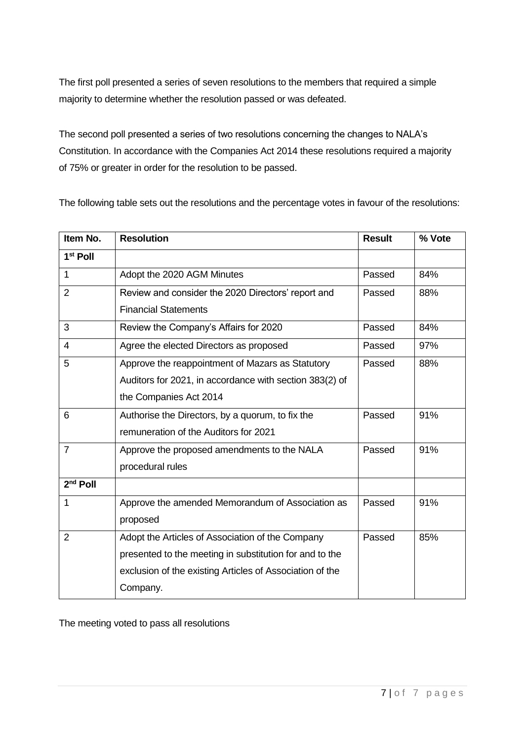The first poll presented a series of seven resolutions to the members that required a simple majority to determine whether the resolution passed or was defeated.

The second poll presented a series of two resolutions concerning the changes to NALA's Constitution. In accordance with the Companies Act 2014 these resolutions required a majority of 75% or greater in order for the resolution to be passed.

The following table sets out the resolutions and the percentage votes in favour of the resolutions:

| Item No.             | <b>Resolution</b>                                        | <b>Result</b> | % Vote |
|----------------------|----------------------------------------------------------|---------------|--------|
| 1 <sup>st</sup> Poll |                                                          |               |        |
| 1                    | Adopt the 2020 AGM Minutes                               | Passed        | 84%    |
| $\overline{2}$       | Review and consider the 2020 Directors' report and       | Passed        | 88%    |
|                      | <b>Financial Statements</b>                              |               |        |
| 3                    | Review the Company's Affairs for 2020                    | Passed        | 84%    |
| $\overline{4}$       | Agree the elected Directors as proposed                  | Passed        | 97%    |
| 5                    | Approve the reappointment of Mazars as Statutory         | Passed        | 88%    |
|                      | Auditors for 2021, in accordance with section 383(2) of  |               |        |
|                      | the Companies Act 2014                                   |               |        |
| 6                    | Authorise the Directors, by a quorum, to fix the         | Passed        | 91%    |
|                      | remuneration of the Auditors for 2021                    |               |        |
| $\overline{7}$       | Approve the proposed amendments to the NALA              | Passed        | 91%    |
|                      | procedural rules                                         |               |        |
| $2nd$ Poll           |                                                          |               |        |
| 1                    | Approve the amended Memorandum of Association as         | Passed        | 91%    |
|                      | proposed                                                 |               |        |
| $\overline{2}$       | Adopt the Articles of Association of the Company         | Passed        | 85%    |
|                      | presented to the meeting in substitution for and to the  |               |        |
|                      | exclusion of the existing Articles of Association of the |               |        |
|                      | Company.                                                 |               |        |

The meeting voted to pass all resolutions